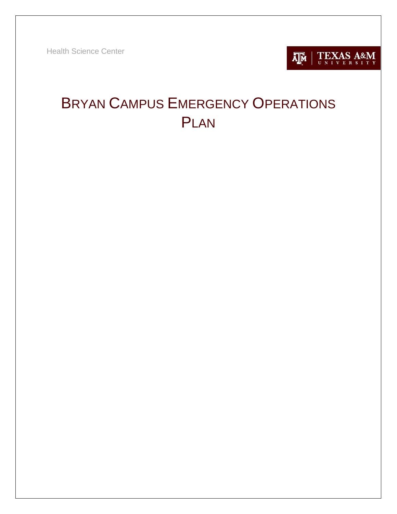Health Science Center



# BRYAN CAMPUS EMERGENCY OPERATIONS PLAN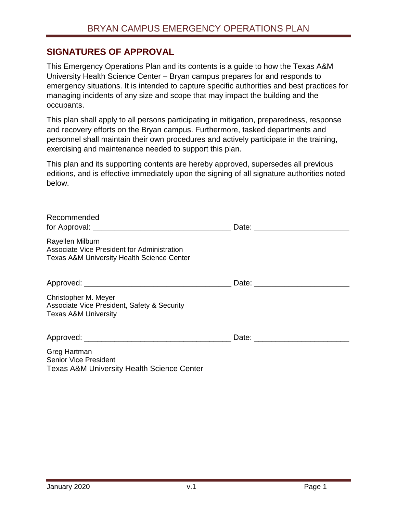### **SIGNATURES OF APPROVAL**

This Emergency Operations Plan and its contents is a guide to how the Texas A&M University Health Science Center – Bryan campus prepares for and responds to emergency situations. It is intended to capture specific authorities and best practices for managing incidents of any size and scope that may impact the building and the occupants.

This plan shall apply to all persons participating in mitigation, preparedness, response and recovery efforts on the Bryan campus. Furthermore, tasked departments and personnel shall maintain their own procedures and actively participate in the training, exercising and maintenance needed to support this plan.

This plan and its supporting contents are hereby approved, supersedes all previous editions, and is effective immediately upon the signing of all signature authorities noted below.

| Recommended                                                                                                              |  |
|--------------------------------------------------------------------------------------------------------------------------|--|
| Rayellen Milburn<br>Associate Vice President for Administration<br><b>Texas A&amp;M University Health Science Center</b> |  |
|                                                                                                                          |  |
| Christopher M. Meyer<br>Associate Vice President, Safety & Security<br><b>Texas A&amp;M University</b>                   |  |
|                                                                                                                          |  |
| Greg Hartman<br><b>Senior Vice President</b>                                                                             |  |

Texas A&M University Health Science Center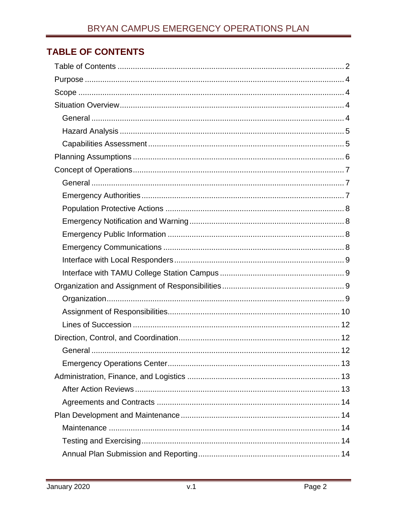# <span id="page-2-0"></span>**TABLE OF CONTENTS**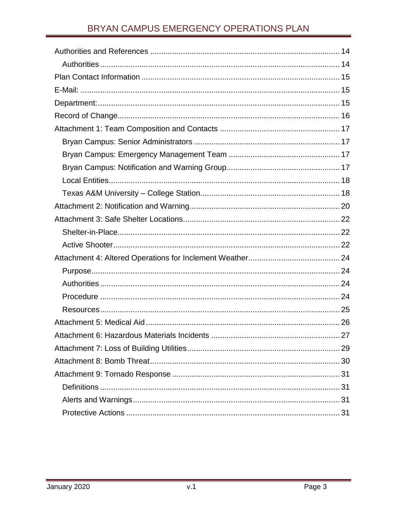# BRYAN CAMPUS EMERGENCY OPERATIONS PLAN

| Attachment 6: Hazardous Materials Incidents<br>.27 |
|----------------------------------------------------|
|                                                    |
|                                                    |
|                                                    |
|                                                    |
|                                                    |
|                                                    |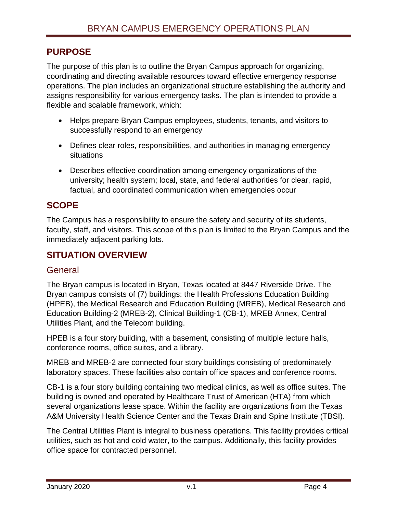# <span id="page-4-0"></span>**PURPOSE**

The purpose of this plan is to outline the Bryan Campus approach for organizing, coordinating and directing available resources toward effective emergency response operations. The plan includes an organizational structure establishing the authority and assigns responsibility for various emergency tasks. The plan is intended to provide a flexible and scalable framework, which:

- Helps prepare Bryan Campus employees, students, tenants, and visitors to successfully respond to an emergency
- Defines clear roles, responsibilities, and authorities in managing emergency situations
- Describes effective coordination among emergency organizations of the university; health system; local, state, and federal authorities for clear, rapid, factual, and coordinated communication when emergencies occur

# <span id="page-4-1"></span>**SCOPE**

The Campus has a responsibility to ensure the safety and security of its students, faculty, staff, and visitors. This scope of this plan is limited to the Bryan Campus and the immediately adjacent parking lots.

# <span id="page-4-2"></span>**SITUATION OVERVIEW**

### <span id="page-4-3"></span>**General**

The Bryan campus is located in Bryan, Texas located at 8447 Riverside Drive. The Bryan campus consists of (7) buildings: the Health Professions Education Building (HPEB), the Medical Research and Education Building (MREB), Medical Research and Education Building-2 (MREB-2), Clinical Building-1 (CB-1), MREB Annex, Central Utilities Plant, and the Telecom building.

HPEB is a four story building, with a basement, consisting of multiple lecture halls, conference rooms, office suites, and a library.

MREB and MREB-2 are connected four story buildings consisting of predominately laboratory spaces. These facilities also contain office spaces and conference rooms.

CB-1 is a four story building containing two medical clinics, as well as office suites. The building is owned and operated by Healthcare Trust of American (HTA) from which several organizations lease space. Within the facility are organizations from the Texas A&M University Health Science Center and the Texas Brain and Spine Institute (TBSI).

The Central Utilities Plant is integral to business operations. This facility provides critical utilities, such as hot and cold water, to the campus. Additionally, this facility provides office space for contracted personnel.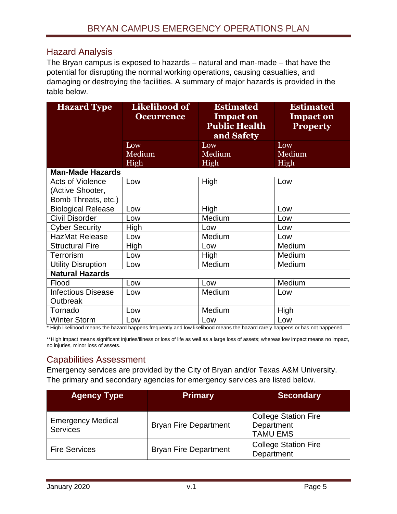# <span id="page-5-0"></span>Hazard Analysis

The Bryan campus is exposed to hazards – natural and man-made – that have the potential for disrupting the normal working operations, causing casualties, and damaging or destroying the facilities. A summary of major hazards is provided in the table below.

| <b>Hazard Type</b>        | <b>Likelihood of</b> | <b>Estimated</b>                                       | <b>Estimated</b>                    |
|---------------------------|----------------------|--------------------------------------------------------|-------------------------------------|
|                           | <b>Occurrence</b>    | <b>Impact on</b><br><b>Public Health</b><br>and Safety | <b>Impact on</b><br><b>Property</b> |
|                           | Low                  | Low                                                    | Low                                 |
|                           | Medium               | Medium                                                 | Medium                              |
| <b>Man-Made Hazards</b>   | High                 | High                                                   | High                                |
|                           |                      |                                                        |                                     |
| <b>Acts of Violence</b>   | Low                  | High                                                   | Low                                 |
| (Active Shooter,          |                      |                                                        |                                     |
| Bomb Threats, etc.)       |                      |                                                        |                                     |
| <b>Biological Release</b> | Low                  | High                                                   | Low                                 |
| <b>Civil Disorder</b>     | Low                  | Medium                                                 | Low                                 |
| <b>Cyber Security</b>     | High                 | Low                                                    | Low                                 |
| <b>HazMat Release</b>     | Low                  | Medium                                                 | Low                                 |
| <b>Structural Fire</b>    | High                 | Low                                                    | Medium                              |
| Terrorism                 | Low                  | High                                                   | Medium                              |
| <b>Utility Disruption</b> | Low                  | Medium                                                 | Medium                              |
| <b>Natural Hazards</b>    |                      |                                                        |                                     |
| Flood                     | Low                  | Low                                                    | Medium                              |
| <b>Infectious Disease</b> | Low                  | Medium                                                 | Low                                 |
| Outbreak                  |                      |                                                        |                                     |
| Tornado                   | Low                  | Medium                                                 | <b>High</b>                         |
| <b>Winter Storm</b>       | Low                  | Low                                                    | Low                                 |

\* High likelihood means the hazard happens frequently and low likelihood means the hazard rarely happens or has not happened.

\*\*High impact means significant injuries/illness or loss of life as well as a large loss of assets; whereas low impact means no impact, no injuries, minor loss of assets.

# <span id="page-5-1"></span>Capabilities Assessment

Emergency services are provided by the City of Bryan and/or Texas A&M University. The primary and secondary agencies for emergency services are listed below.

| <b>Agency Type</b>                          | <b>Primary</b>               | <b>Secondary</b>                                             |
|---------------------------------------------|------------------------------|--------------------------------------------------------------|
| <b>Emergency Medical</b><br><b>Services</b> | <b>Bryan Fire Department</b> | <b>College Station Fire</b><br>Department<br><b>TAMU EMS</b> |
| <b>Fire Services</b>                        | <b>Bryan Fire Department</b> | <b>College Station Fire</b><br>Department                    |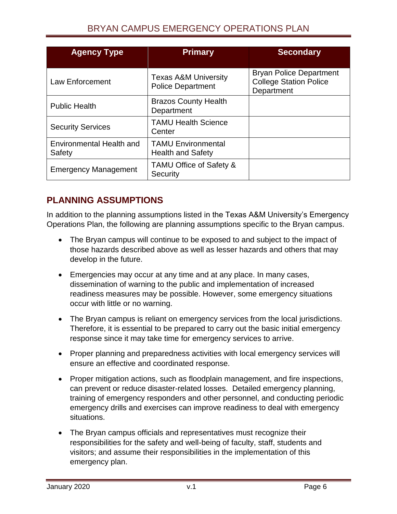# BRYAN CAMPUS EMERGENCY OPERATIONS PLAN

| <b>Agency Type</b>                 | <b>Primary</b>                                              | <b>Secondary</b>                                                              |
|------------------------------------|-------------------------------------------------------------|-------------------------------------------------------------------------------|
| Law Enforcement                    | <b>Texas A&amp;M University</b><br><b>Police Department</b> | <b>Bryan Police Department</b><br><b>College Station Police</b><br>Department |
| <b>Public Health</b>               | <b>Brazos County Health</b><br>Department                   |                                                                               |
| <b>Security Services</b>           | <b>TAMU Health Science</b><br>Center                        |                                                                               |
| Environmental Health and<br>Safety | <b>TAMU Environmental</b><br><b>Health and Safety</b>       |                                                                               |
| <b>Emergency Management</b>        | TAMU Office of Safety &<br>Security                         |                                                                               |

# <span id="page-6-0"></span>**PLANNING ASSUMPTIONS**

In addition to the planning assumptions listed in the Texas A&M University's Emergency Operations Plan, the following are planning assumptions specific to the Bryan campus.

- The Bryan campus will continue to be exposed to and subject to the impact of those hazards described above as well as lesser hazards and others that may develop in the future.
- Emergencies may occur at any time and at any place. In many cases, dissemination of warning to the public and implementation of increased readiness measures may be possible. However, some emergency situations occur with little or no warning.
- The Bryan campus is reliant on emergency services from the local jurisdictions. Therefore, it is essential to be prepared to carry out the basic initial emergency response since it may take time for emergency services to arrive.
- Proper planning and preparedness activities with local emergency services will ensure an effective and coordinated response.
- Proper mitigation actions, such as floodplain management, and fire inspections, can prevent or reduce disaster-related losses. Detailed emergency planning, training of emergency responders and other personnel, and conducting periodic emergency drills and exercises can improve readiness to deal with emergency situations.
- The Bryan campus officials and representatives must recognize their responsibilities for the safety and well-being of faculty, staff, students and visitors; and assume their responsibilities in the implementation of this emergency plan.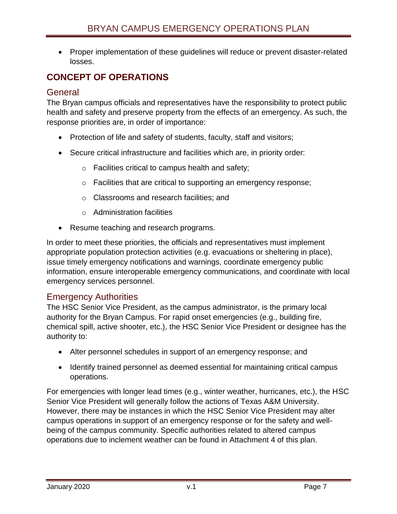Proper implementation of these guidelines will reduce or prevent disaster-related losses.

# <span id="page-7-0"></span>**CONCEPT OF OPERATIONS**

### <span id="page-7-1"></span>**General**

The Bryan campus officials and representatives have the responsibility to protect public health and safety and preserve property from the effects of an emergency. As such, the response priorities are, in order of importance:

- Protection of life and safety of students, faculty, staff and visitors;
- Secure critical infrastructure and facilities which are, in priority order:
	- o Facilities critical to campus health and safety;
	- $\circ$  Facilities that are critical to supporting an emergency response;
	- o Classrooms and research facilities; and
	- o Administration facilities
- Resume teaching and research programs.

In order to meet these priorities, the officials and representatives must implement appropriate population protection activities (e.g. evacuations or sheltering in place), issue timely emergency notifications and warnings, coordinate emergency public information, ensure interoperable emergency communications, and coordinate with local emergency services personnel.

# <span id="page-7-2"></span>Emergency Authorities

The HSC Senior Vice President, as the campus administrator, is the primary local authority for the Bryan Campus. For rapid onset emergencies (e.g., building fire, chemical spill, active shooter, etc.), the HSC Senior Vice President or designee has the authority to:

- Alter personnel schedules in support of an emergency response; and
- Identify trained personnel as deemed essential for maintaining critical campus operations.

For emergencies with longer lead times (e.g., winter weather, hurricanes, etc.), the HSC Senior Vice President will generally follow the actions of Texas A&M University. However, there may be instances in which the HSC Senior Vice President may alter campus operations in support of an emergency response or for the safety and wellbeing of the campus community. Specific authorities related to altered campus operations due to inclement weather can be found in Attachment 4 of this plan.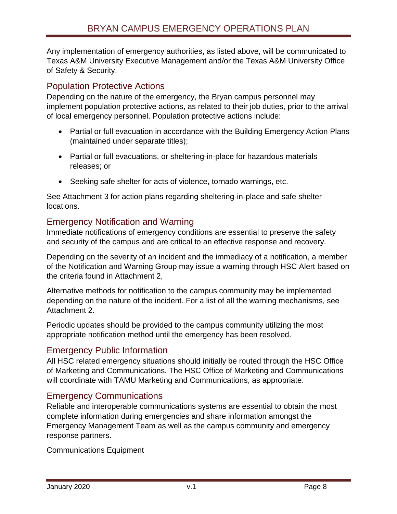Any implementation of emergency authorities, as listed above, will be communicated to Texas A&M University Executive Management and/or the Texas A&M University Office of Safety & Security.

# <span id="page-8-0"></span>Population Protective Actions

Depending on the nature of the emergency, the Bryan campus personnel may implement population protective actions, as related to their job duties, prior to the arrival of local emergency personnel. Population protective actions include:

- Partial or full evacuation in accordance with the Building Emergency Action Plans (maintained under separate titles);
- Partial or full evacuations, or sheltering-in-place for hazardous materials releases; or
- Seeking safe shelter for acts of violence, tornado warnings, etc.

See Attachment 3 for action plans regarding sheltering-in-place and safe shelter locations.

# <span id="page-8-1"></span>Emergency Notification and Warning

Immediate notifications of emergency conditions are essential to preserve the safety and security of the campus and are critical to an effective response and recovery.

Depending on the severity of an incident and the immediacy of a notification, a member of the Notification and Warning Group may issue a warning through HSC Alert based on the criteria found in Attachment 2,

Alternative methods for notification to the campus community may be implemented depending on the nature of the incident. For a list of all the warning mechanisms, see Attachment 2.

Periodic updates should be provided to the campus community utilizing the most appropriate notification method until the emergency has been resolved.

# <span id="page-8-2"></span>Emergency Public Information

All HSC related emergency situations should initially be routed through the HSC Office of Marketing and Communications. The HSC Office of Marketing and Communications will coordinate with TAMU Marketing and Communications, as appropriate.

### <span id="page-8-3"></span>Emergency Communications

Reliable and interoperable communications systems are essential to obtain the most complete information during emergencies and share information amongst the Emergency Management Team as well as the campus community and emergency response partners.

Communications Equipment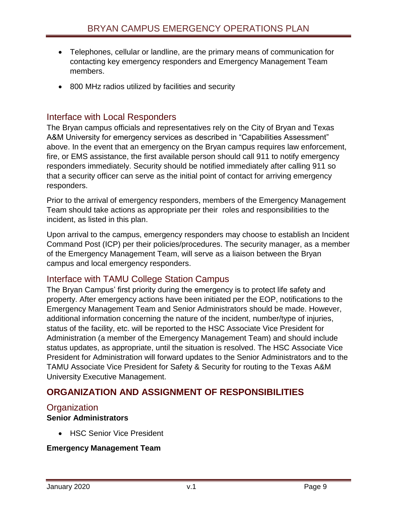- Telephones, cellular or landline, are the primary means of communication for contacting key emergency responders and Emergency Management Team members.
- 800 MHz radios utilized by facilities and security

### <span id="page-9-0"></span>Interface with Local Responders

The Bryan campus officials and representatives rely on the City of Bryan and Texas A&M University for emergency services as described in "Capabilities Assessment" above. In the event that an emergency on the Bryan campus requires law enforcement, fire, or EMS assistance, the first available person should call 911 to notify emergency responders immediately. Security should be notified immediately after calling 911 so that a security officer can serve as the initial point of contact for arriving emergency responders.

Prior to the arrival of emergency responders, members of the Emergency Management Team should take actions as appropriate per their roles and responsibilities to the incident, as listed in this plan.

Upon arrival to the campus, emergency responders may choose to establish an Incident Command Post (ICP) per their policies/procedures. The security manager, as a member of the Emergency Management Team, will serve as a liaison between the Bryan campus and local emergency responders.

### <span id="page-9-1"></span>Interface with TAMU College Station Campus

The Bryan Campus' first priority during the emergency is to protect life safety and property. After emergency actions have been initiated per the EOP, notifications to the Emergency Management Team and Senior Administrators should be made. However, additional information concerning the nature of the incident, number/type of injuries, status of the facility, etc. will be reported to the HSC Associate Vice President for Administration (a member of the Emergency Management Team) and should include status updates, as appropriate, until the situation is resolved. The HSC Associate Vice President for Administration will forward updates to the Senior Administrators and to the TAMU Associate Vice President for Safety & Security for routing to the Texas A&M University Executive Management.

# <span id="page-9-2"></span>**ORGANIZATION AND ASSIGNMENT OF RESPONSIBILITIES**

#### <span id="page-9-3"></span>**Organization**

#### **Senior Administrators**

HSC Senior Vice President

#### **Emergency Management Team**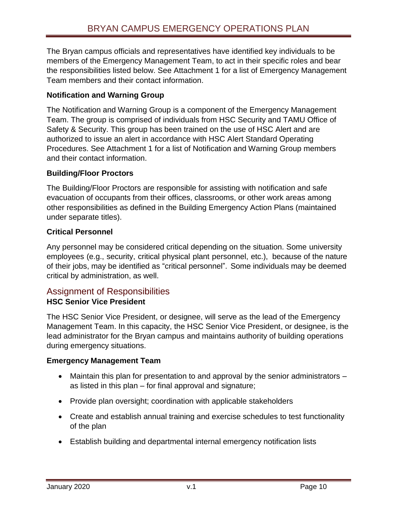The Bryan campus officials and representatives have identified key individuals to be members of the Emergency Management Team, to act in their specific roles and bear the responsibilities listed below. See Attachment 1 for a list of Emergency Management Team members and their contact information.

### **Notification and Warning Group**

The Notification and Warning Group is a component of the Emergency Management Team. The group is comprised of individuals from HSC Security and TAMU Office of Safety & Security. This group has been trained on the use of HSC Alert and are authorized to issue an alert in accordance with HSC Alert Standard Operating Procedures. See Attachment 1 for a list of Notification and Warning Group members and their contact information.

#### **Building/Floor Proctors**

The Building/Floor Proctors are responsible for assisting with notification and safe evacuation of occupants from their offices, classrooms, or other work areas among other responsibilities as defined in the Building Emergency Action Plans (maintained under separate titles).

#### **Critical Personnel**

Any personnel may be considered critical depending on the situation. Some university employees (e.g., security, critical physical plant personnel, etc.), because of the nature of their jobs, may be identified as "critical personnel". Some individuals may be deemed critical by administration, as well.

#### <span id="page-10-0"></span>Assignment of Responsibilities **HSC Senior Vice President**

The HSC Senior Vice President, or designee, will serve as the lead of the Emergency Management Team. In this capacity, the HSC Senior Vice President, or designee, is the lead administrator for the Bryan campus and maintains authority of building operations during emergency situations.

#### **Emergency Management Team**

- Maintain this plan for presentation to and approval by the senior administrators as listed in this plan – for final approval and signature;
- Provide plan oversight; coordination with applicable stakeholders
- Create and establish annual training and exercise schedules to test functionality of the plan
- Establish building and departmental internal emergency notification lists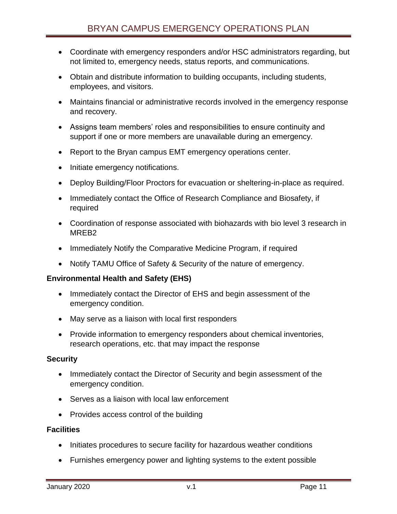- Coordinate with emergency responders and/or HSC administrators regarding, but not limited to, emergency needs, status reports, and communications.
- Obtain and distribute information to building occupants, including students, employees, and visitors.
- Maintains financial or administrative records involved in the emergency response and recovery.
- Assigns team members' roles and responsibilities to ensure continuity and support if one or more members are unavailable during an emergency.
- Report to the Bryan campus EMT emergency operations center.
- Initiate emergency notifications.
- Deploy Building/Floor Proctors for evacuation or sheltering-in-place as required.
- Immediately contact the Office of Research Compliance and Biosafety, if required
- Coordination of response associated with biohazards with bio level 3 research in MREB2
- Immediately Notify the Comparative Medicine Program, if required
- Notify TAMU Office of Safety & Security of the nature of emergency.

#### **Environmental Health and Safety (EHS)**

- Immediately contact the Director of EHS and begin assessment of the emergency condition.
- May serve as a liaison with local first responders
- Provide information to emergency responders about chemical inventories, research operations, etc. that may impact the response

#### **Security**

- Immediately contact the Director of Security and begin assessment of the emergency condition.
- Serves as a liaison with local law enforcement
- Provides access control of the building

#### **Facilities**

- Initiates procedures to secure facility for hazardous weather conditions
- Furnishes emergency power and lighting systems to the extent possible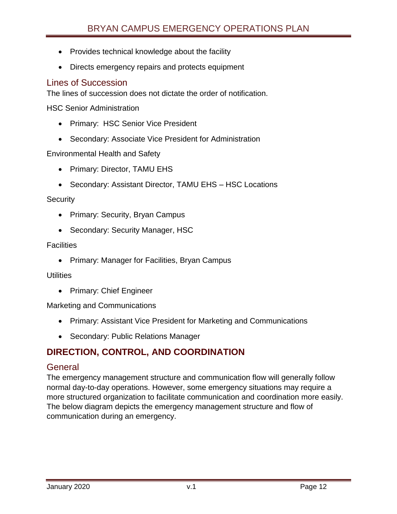- Provides technical knowledge about the facility
- Directs emergency repairs and protects equipment

### <span id="page-12-0"></span>Lines of Succession

The lines of succession does not dictate the order of notification.

HSC Senior Administration

- Primary: HSC Senior Vice President
- Secondary: Associate Vice President for Administration

Environmental Health and Safety

- Primary: Director, TAMU EHS
- Secondary: Assistant Director, TAMU EHS HSC Locations

#### **Security**

- Primary: Security, Bryan Campus
- Secondary: Security Manager, HSC

#### **Facilities**

• Primary: Manager for Facilities, Bryan Campus

#### **Utilities**

• Primary: Chief Engineer

Marketing and Communications

- Primary: Assistant Vice President for Marketing and Communications
- Secondary: Public Relations Manager

# <span id="page-12-1"></span>**DIRECTION, CONTROL, AND COORDINATION**

#### <span id="page-12-2"></span>General

The emergency management structure and communication flow will generally follow normal day-to-day operations. However, some emergency situations may require a more structured organization to facilitate communication and coordination more easily. The below diagram depicts the emergency management structure and flow of communication during an emergency.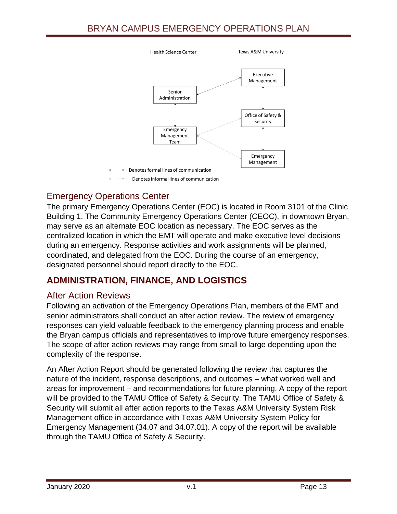# BRYAN CAMPUS EMERGENCY OPERATIONS PLAN



# <span id="page-13-0"></span>Emergency Operations Center

The primary Emergency Operations Center (EOC) is located in Room 3101 of the Clinic Building 1. The Community Emergency Operations Center (CEOC), in downtown Bryan, may serve as an alternate EOC location as necessary. The EOC serves as the centralized location in which the EMT will operate and make executive level decisions during an emergency. Response activities and work assignments will be planned, coordinated, and delegated from the EOC. During the course of an emergency, designated personnel should report directly to the EOC.

# <span id="page-13-1"></span>**ADMINISTRATION, FINANCE, AND LOGISTICS**

#### <span id="page-13-2"></span>After Action Reviews

Following an activation of the Emergency Operations Plan, members of the EMT and senior administrators shall conduct an after action review. The review of emergency responses can yield valuable feedback to the emergency planning process and enable the Bryan campus officials and representatives to improve future emergency responses. The scope of after action reviews may range from small to large depending upon the complexity of the response.

An After Action Report should be generated following the review that captures the nature of the incident, response descriptions, and outcomes – what worked well and areas for improvement – and recommendations for future planning. A copy of the report will be provided to the TAMU Office of Safety & Security. The TAMU Office of Safety & Security will submit all after action reports to the Texas A&M University System Risk Management office in accordance with Texas A&M University System Policy for Emergency Management (34.07 and 34.07.01). A copy of the report will be available through the TAMU Office of Safety & Security.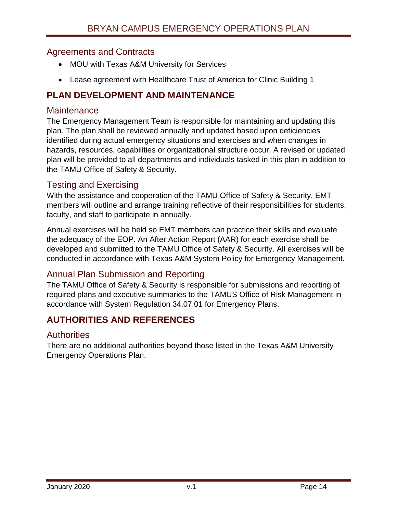### <span id="page-14-0"></span>Agreements and Contracts

- MOU with Texas A&M University for Services
- Lease agreement with Healthcare Trust of America for Clinic Building 1

# <span id="page-14-1"></span>**PLAN DEVELOPMENT AND MAINTENANCE**

#### <span id="page-14-2"></span>**Maintenance**

The Emergency Management Team is responsible for maintaining and updating this plan. The plan shall be reviewed annually and updated based upon deficiencies identified during actual emergency situations and exercises and when changes in hazards, resources, capabilities or organizational structure occur. A revised or updated plan will be provided to all departments and individuals tasked in this plan in addition to the TAMU Office of Safety & Security.

### <span id="page-14-3"></span>Testing and Exercising

With the assistance and cooperation of the TAMU Office of Safety & Security, EMT members will outline and arrange training reflective of their responsibilities for students, faculty, and staff to participate in annually.

Annual exercises will be held so EMT members can practice their skills and evaluate the adequacy of the EOP. An After Action Report (AAR) for each exercise shall be developed and submitted to the TAMU Office of Safety & Security. All exercises will be conducted in accordance with Texas A&M System Policy for Emergency Management.

# <span id="page-14-4"></span>Annual Plan Submission and Reporting

The TAMU Office of Safety & Security is responsible for submissions and reporting of required plans and executive summaries to the TAMUS Office of Risk Management in accordance with System Regulation 34.07.01 for Emergency Plans.

# <span id="page-14-5"></span>**AUTHORITIES AND REFERENCES**

### <span id="page-14-6"></span>**Authorities**

There are no additional authorities beyond those listed in the Texas A&M University Emergency Operations Plan.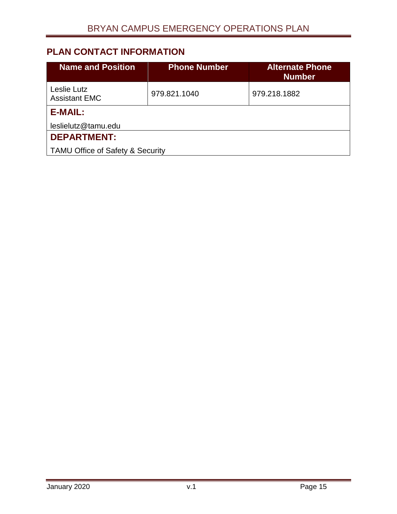# <span id="page-15-0"></span>**PLAN CONTACT INFORMATION**

<span id="page-15-2"></span><span id="page-15-1"></span>

| <b>Name and Position</b>                    | <b>Phone Number</b> | <b>Alternate Phone</b><br><b>Number</b> |  |
|---------------------------------------------|---------------------|-----------------------------------------|--|
| Leslie Lutz<br><b>Assistant EMC</b>         | 979.821.1040        | 979.218.1882                            |  |
| <b>E-MAIL:</b>                              |                     |                                         |  |
| leslielutz@tamu.edu                         |                     |                                         |  |
| <b>DEPARTMENT:</b>                          |                     |                                         |  |
| <b>TAMU Office of Safety &amp; Security</b> |                     |                                         |  |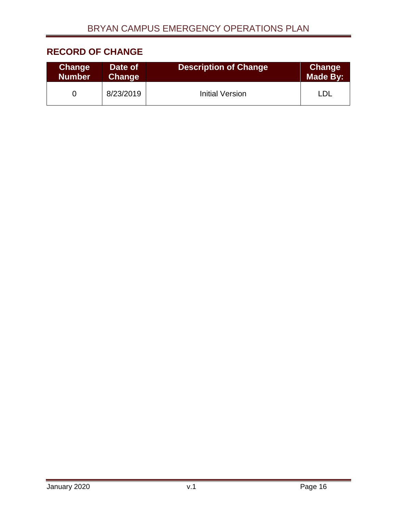# <span id="page-16-0"></span>**RECORD OF CHANGE**

| <b>Change</b> | Date of       | <b>Description of Change</b> | <b>Change</b> |
|---------------|---------------|------------------------------|---------------|
| <b>Number</b> | <b>Change</b> |                              | Made By:      |
|               | 8/23/2019     | <b>Initial Version</b>       |               |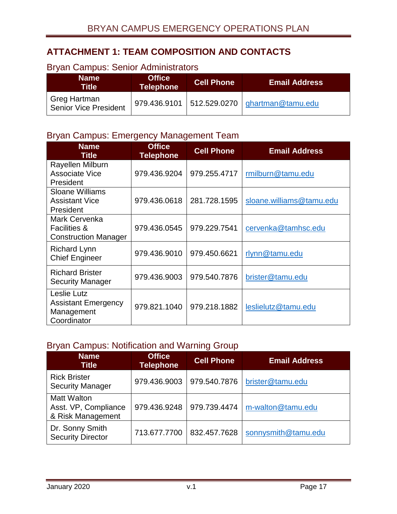# <span id="page-17-0"></span>**ATTACHMENT 1: TEAM COMPOSITION AND CONTACTS**

#### **Name Title Office Telephone Cell Phone Email Address** Greg Hartman Sieg Hartman<br>Senior Vice President 979.436.9101 512.529.0270 <u>[ghartman@tamu.edu](mailto:ghartman@tamu.edu)</u>

# <span id="page-17-1"></span>Bryan Campus: Senior Administrators

# <span id="page-17-2"></span>Bryan Campus: Emergency Management Team

| <b>Name</b><br><b>Title</b>                                             | <b>Office</b><br><b>Telephone</b> | <b>Cell Phone</b> | <b>Email Address</b>     |
|-------------------------------------------------------------------------|-----------------------------------|-------------------|--------------------------|
| Rayellen Milburn<br>Associate Vice<br>President                         | 979.436.9204                      | 979.255.4717      | rmilburn@tamu.edu        |
| <b>Sloane Williams</b><br><b>Assistant Vice</b><br>President            | 979.436.0618                      | 281.728.1595      | sloane.williams@tamu.edu |
| Mark Cervenka<br><b>Facilities &amp;</b><br><b>Construction Manager</b> | 979.436.0545                      | 979.229.7541      | cervenka@tamhsc.edu      |
| <b>Richard Lynn</b><br><b>Chief Engineer</b>                            | 979.436.9010                      | 979.450.6621      | rlynn@tamu.edu           |
| <b>Richard Brister</b><br><b>Security Manager</b>                       | 979.436.9003                      | 979.540.7876      | brister@tamu.edu         |
| Leslie Lutz<br><b>Assistant Emergency</b><br>Management<br>Coordinator  | 979.821.1040                      | 979.218.1882      | leslielutz@tamu.edu      |

### <span id="page-17-3"></span>Bryan Campus: Notification and Warning Group

| <b>Name</b><br><b>Title</b>                                     | <b>Office</b><br><b>Telephone</b> | <b>Cell Phone</b> | <b>Email Address</b> |
|-----------------------------------------------------------------|-----------------------------------|-------------------|----------------------|
| <b>Rick Brister</b><br><b>Security Manager</b>                  | 979.436.9003                      | 979.540.7876      | brister@tamu.edu     |
| <b>Matt Walton</b><br>Asst. VP, Compliance<br>& Risk Management | 979.436.9248                      | 979.739.4474      | m-walton@tamu.edu    |
| Dr. Sonny Smith<br><b>Security Director</b>                     | 713.677.7700                      | 832.457.7628      | sonnysmith@tamu.edu  |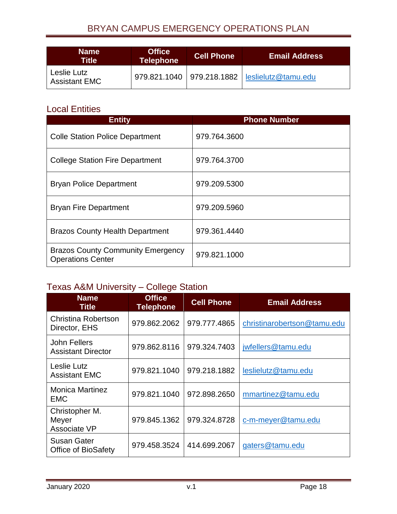# BRYAN CAMPUS EMERGENCY OPERATIONS PLAN

| <b>Name</b><br>Title'               | <b>Office</b><br><b>Telephone</b> | <b>Cell Phone</b> | ⊦Email Address                                    |
|-------------------------------------|-----------------------------------|-------------------|---------------------------------------------------|
| Leslie Lutz<br><b>Assistant EMC</b> |                                   |                   | 979.821.1040   979.218.1882   leslielutz@tamu.edu |

# <span id="page-18-0"></span>Local Entities

| <b>Entity</b>                                                        | <b>Phone Number</b> |
|----------------------------------------------------------------------|---------------------|
| <b>Colle Station Police Department</b>                               | 979.764.3600        |
| <b>College Station Fire Department</b>                               | 979.764.3700        |
| <b>Bryan Police Department</b>                                       | 979.209.5300        |
| <b>Bryan Fire Department</b>                                         | 979.209.5960        |
| <b>Brazos County Health Department</b>                               | 979.361.4440        |
| <b>Brazos County Community Emergency</b><br><b>Operations Center</b> | 979.821.1000        |

# <span id="page-18-1"></span>Texas A&M University – College Station

| <b>Name</b><br><b>Title</b>                      | <b>Office</b><br><b>Telephone</b> | <b>Cell Phone</b> | <b>Email Address</b>        |
|--------------------------------------------------|-----------------------------------|-------------------|-----------------------------|
| <b>Christina Robertson</b><br>Director, EHS      | 979.862.2062                      | 979.777.4865      | christinarobertson@tamu.edu |
| John Fellers<br><b>Assistant Director</b>        | 979.862.8116                      | 979.324.7403      | jwfellers@tamu.edu          |
| Leslie Lutz<br><b>Assistant EMC</b>              | 979.821.1040                      | 979.218.1882      | leslielutz@tamu.edu         |
| <b>Monica Martinez</b><br><b>EMC</b>             | 979.821.1040                      | 972.898.2650      | mmartinez@tamu.edu          |
| Christopher M.<br>Meyer<br>Associate VP          | 979.845.1362                      | 979.324.8728      | c-m-meyer@tamu.edu          |
| <b>Susan Gater</b><br><b>Office of BioSafety</b> | 979.458.3524                      | 414.699.2067      | gaters@tamu.edu             |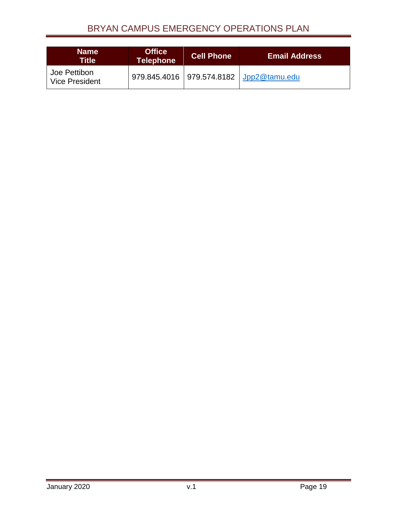# BRYAN CAMPUS EMERGENCY OPERATIONS PLAN

| <b>Name</b><br>Title'                 | <b>Office</b><br><b>Telephone</b> | <b>Cell Phone</b> | <b>Email Address</b>                        |
|---------------------------------------|-----------------------------------|-------------------|---------------------------------------------|
| Joe Pettibon<br><b>Vice President</b> |                                   |                   | 979.845.4016   979.574.8182   Jpp2@tamu.edu |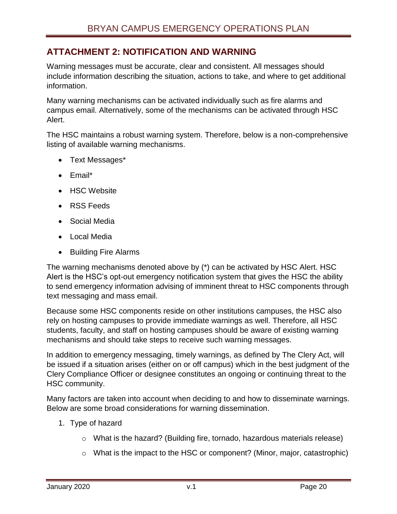# <span id="page-20-0"></span>**ATTACHMENT 2: NOTIFICATION AND WARNING**

Warning messages must be accurate, clear and consistent. All messages should include information describing the situation, actions to take, and where to get additional information.

Many warning mechanisms can be activated individually such as fire alarms and campus email. Alternatively, some of the mechanisms can be activated through HSC Alert.

The HSC maintains a robust warning system. Therefore, below is a non-comprehensive listing of available warning mechanisms.

- Text Messages\*
- Email\*
- HSC Website
- RSS Feeds
- Social Media
- Local Media
- Building Fire Alarms

The warning mechanisms denoted above by (\*) can be activated by HSC Alert. HSC Alert is the HSC's opt-out emergency notification system that gives the HSC the ability to send emergency information advising of imminent threat to HSC components through text messaging and mass email.

Because some HSC components reside on other institutions campuses, the HSC also rely on hosting campuses to provide immediate warnings as well. Therefore, all HSC students, faculty, and staff on hosting campuses should be aware of existing warning mechanisms and should take steps to receive such warning messages.

In addition to emergency messaging, timely warnings, as defined by The Clery Act, will be issued if a situation arises (either on or off campus) which in the best judgment of the Clery Compliance Officer or designee constitutes an ongoing or continuing threat to the HSC community.

Many factors are taken into account when deciding to and how to disseminate warnings. Below are some broad considerations for warning dissemination.

- 1. Type of hazard
	- o What is the hazard? (Building fire, tornado, hazardous materials release)
	- o What is the impact to the HSC or component? (Minor, major, catastrophic)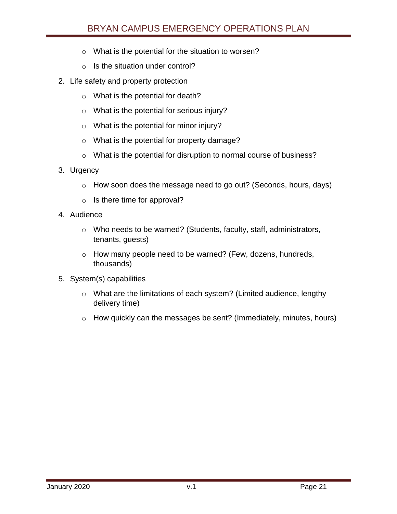- o What is the potential for the situation to worsen?
- $\circ$  Is the situation under control?
- 2. Life safety and property protection
	- o What is the potential for death?
	- o What is the potential for serious injury?
	- o What is the potential for minor injury?
	- o What is the potential for property damage?
	- o What is the potential for disruption to normal course of business?
- 3. Urgency
	- o How soon does the message need to go out? (Seconds, hours, days)
	- o Is there time for approval?
- 4. Audience
	- o Who needs to be warned? (Students, faculty, staff, administrators, tenants, guests)
	- o How many people need to be warned? (Few, dozens, hundreds, thousands)
- 5. System(s) capabilities
	- o What are the limitations of each system? (Limited audience, lengthy delivery time)
	- o How quickly can the messages be sent? (Immediately, minutes, hours)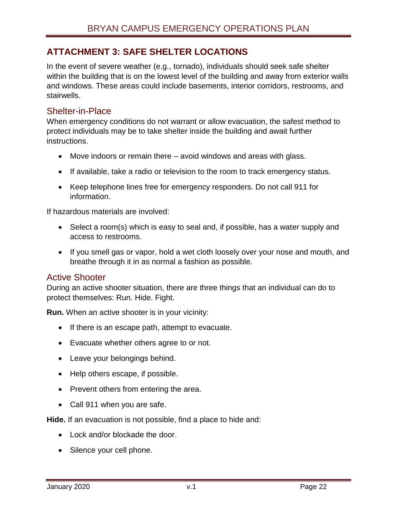# <span id="page-22-0"></span>**ATTACHMENT 3: SAFE SHELTER LOCATIONS**

In the event of severe weather (e.g., tornado), individuals should seek safe shelter within the building that is on the lowest level of the building and away from exterior walls and windows. These areas could include basements, interior corridors, restrooms, and stairwells.

### <span id="page-22-1"></span>Shelter-in-Place

When emergency conditions do not warrant or allow evacuation, the safest method to protect individuals may be to take shelter inside the building and await further instructions.

- Move indoors or remain there avoid windows and areas with glass.
- If available, take a radio or television to the room to track emergency status.
- Keep telephone lines free for emergency responders. Do not call 911 for information.

If hazardous materials are involved:

- Select a room(s) which is easy to seal and, if possible, has a water supply and access to restrooms.
- If you smell gas or vapor, hold a wet cloth loosely over your nose and mouth, and breathe through it in as normal a fashion as possible.

### <span id="page-22-2"></span>Active Shooter

During an active shooter situation, there are three things that an individual can do to protect themselves: Run. Hide. Fight.

**Run.** When an active shooter is in your vicinity:

- If there is an escape path, attempt to evacuate.
- Evacuate whether others agree to or not.
- Leave your belongings behind.
- Help others escape, if possible.
- Prevent others from entering the area.
- Call 911 when you are safe.

**Hide.** If an evacuation is not possible, find a place to hide and:

- Lock and/or blockade the door.
- Silence your cell phone.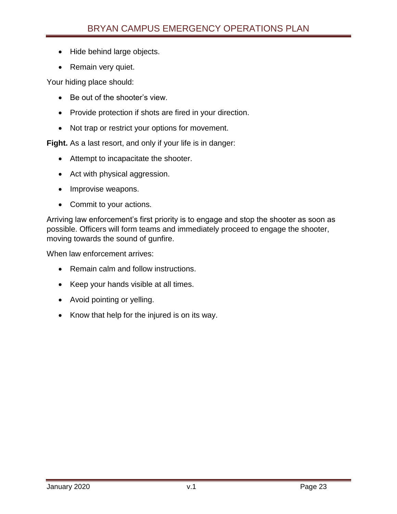- Hide behind large objects.
- Remain very quiet.

Your hiding place should:

- Be out of the shooter's view.
- Provide protection if shots are fired in your direction.
- Not trap or restrict your options for movement.

**Fight.** As a last resort, and only if your life is in danger:

- Attempt to incapacitate the shooter.
- Act with physical aggression.
- Improvise weapons.
- Commit to your actions.

Arriving law enforcement's first priority is to engage and stop the shooter as soon as possible. Officers will form teams and immediately proceed to engage the shooter, moving towards the sound of gunfire.

When law enforcement arrives:

- Remain calm and follow instructions.
- Keep your hands visible at all times.
- Avoid pointing or yelling.
- Know that help for the injured is on its way.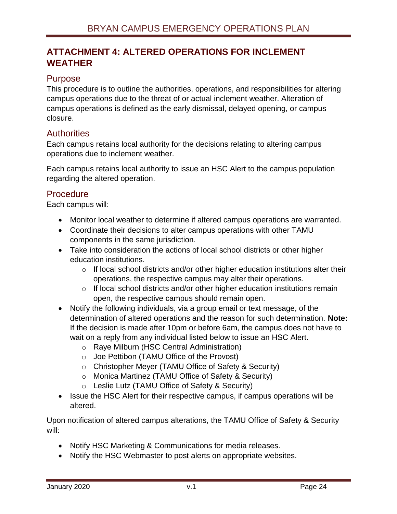# <span id="page-24-0"></span>**ATTACHMENT 4: ALTERED OPERATIONS FOR INCLEMENT WEATHER**

### <span id="page-24-1"></span>Purpose

This procedure is to outline the authorities, operations, and responsibilities for altering campus operations due to the threat of or actual inclement weather. Alteration of campus operations is defined as the early dismissal, delayed opening, or campus closure.

### <span id="page-24-2"></span>**Authorities**

Each campus retains local authority for the decisions relating to altering campus operations due to inclement weather.

Each campus retains local authority to issue an HSC Alert to the campus population regarding the altered operation.

### <span id="page-24-3"></span>**Procedure**

Each campus will:

- Monitor local weather to determine if altered campus operations are warranted.
- Coordinate their decisions to alter campus operations with other TAMU components in the same jurisdiction.
- Take into consideration the actions of local school districts or other higher education institutions.
	- $\circ$  If local school districts and/or other higher education institutions alter their operations, the respective campus may alter their operations.
	- $\circ$  If local school districts and/or other higher education institutions remain open, the respective campus should remain open.
- Notify the following individuals, via a group email or text message, of the determination of altered operations and the reason for such determination. **Note:** If the decision is made after 10pm or before 6am, the campus does not have to wait on a reply from any individual listed below to issue an HSC Alert.
	- o Raye Milburn (HSC Central Administration)
	- o Joe Pettibon (TAMU Office of the Provost)
	- o Christopher Meyer (TAMU Office of Safety & Security)
	- o Monica Martinez (TAMU Office of Safety & Security)
	- o Leslie Lutz (TAMU Office of Safety & Security)
- Issue the HSC Alert for their respective campus, if campus operations will be altered.

Upon notification of altered campus alterations, the TAMU Office of Safety & Security will:

- Notify HSC Marketing & Communications for media releases.
- Notify the HSC Webmaster to post alerts on appropriate websites.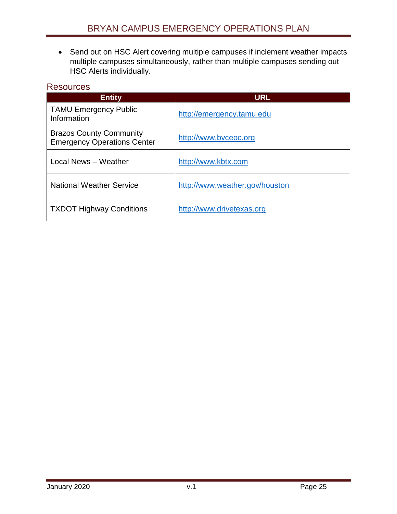Send out on HSC Alert covering multiple campuses if inclement weather impacts multiple campuses simultaneously, rather than multiple campuses sending out HSC Alerts individually.

### <span id="page-25-0"></span>**Resources**

| <b>Entity</b>                                                        | <b>URL</b>                     |  |
|----------------------------------------------------------------------|--------------------------------|--|
| <b>TAMU Emergency Public</b><br>Information                          | http://emergency.tamu.edu      |  |
| <b>Brazos County Community</b><br><b>Emergency Operations Center</b> | http://www.byceoc.org          |  |
| Local News - Weather                                                 | http://www.kbtx.com            |  |
| <b>National Weather Service</b>                                      | http://www.weather.gov/houston |  |
| <b>TXDOT Highway Conditions</b>                                      | http://www.drivetexas.org      |  |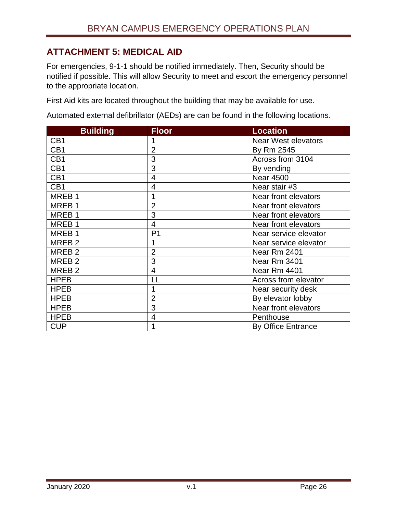# <span id="page-26-0"></span>**ATTACHMENT 5: MEDICAL AID**

For emergencies, 9-1-1 should be notified immediately. Then, Security should be notified if possible. This will allow Security to meet and escort the emergency personnel to the appropriate location.

First Aid kits are located throughout the building that may be available for use.

Automated external defibrillator (AEDs) are can be found in the following locations.

| <b>Building</b>   | <b>Floor</b>   | <b>Location</b>            |
|-------------------|----------------|----------------------------|
| CB <sub>1</sub>   |                | <b>Near West elevators</b> |
| CB <sub>1</sub>   | $\overline{2}$ | By Rm 2545                 |
| CB1               | 3              | Across from 3104           |
| CB <sub>1</sub>   | 3              | By vending                 |
| CB <sub>1</sub>   | $\overline{4}$ | <b>Near 4500</b>           |
| CB <sub>1</sub>   | $\overline{4}$ | Near stair #3              |
| MREB <sub>1</sub> | 1              | Near front elevators       |
| MREB <sub>1</sub> | $\overline{2}$ | Near front elevators       |
| MREB <sub>1</sub> | 3              | Near front elevators       |
| MREB <sub>1</sub> | $\overline{4}$ | Near front elevators       |
| MREB <sub>1</sub> | P <sub>1</sub> | Near service elevator      |
| MREB <sub>2</sub> | 1              | Near service elevator      |
| MREB <sub>2</sub> | $\overline{2}$ | <b>Near Rm 2401</b>        |
| MREB <sub>2</sub> | 3              | Near Rm 3401               |
| MREB <sub>2</sub> | $\overline{4}$ | Near Rm 4401               |
| <b>HPEB</b>       | LL             | Across from elevator       |
| <b>HPEB</b>       | 1              | Near security desk         |
| <b>HPEB</b>       | $\overline{2}$ | By elevator lobby          |
| <b>HPEB</b>       | 3              | Near front elevators       |
| <b>HPEB</b>       | $\overline{4}$ | Penthouse                  |
| <b>CUP</b>        | 1              | <b>By Office Entrance</b>  |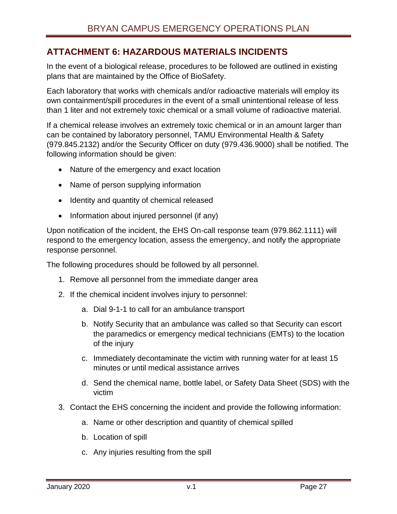# <span id="page-27-0"></span>**ATTACHMENT 6: HAZARDOUS MATERIALS INCIDENTS**

In the event of a biological release, procedures to be followed are outlined in existing plans that are maintained by the Office of BioSafety.

Each laboratory that works with chemicals and/or radioactive materials will employ its own containment/spill procedures in the event of a small unintentional release of less than 1 liter and not extremely toxic chemical or a small volume of radioactive material.

If a chemical release involves an extremely toxic chemical or in an amount larger than can be contained by laboratory personnel, TAMU Environmental Health & Safety (979.845.2132) and/or the Security Officer on duty (979.436.9000) shall be notified. The following information should be given:

- Nature of the emergency and exact location
- Name of person supplying information
- Identity and quantity of chemical released
- Information about injured personnel (if any)

Upon notification of the incident, the EHS On-call response team (979.862.1111) will respond to the emergency location, assess the emergency, and notify the appropriate response personnel.

The following procedures should be followed by all personnel.

- 1. Remove all personnel from the immediate danger area
- 2. If the chemical incident involves injury to personnel:
	- a. Dial 9-1-1 to call for an ambulance transport
	- b. Notify Security that an ambulance was called so that Security can escort the paramedics or emergency medical technicians (EMTs) to the location of the injury
	- c. Immediately decontaminate the victim with running water for at least 15 minutes or until medical assistance arrives
	- d. Send the chemical name, bottle label, or Safety Data Sheet (SDS) with the victim
- 3. Contact the EHS concerning the incident and provide the following information:
	- a. Name or other description and quantity of chemical spilled
	- b. Location of spill
	- c. Any injuries resulting from the spill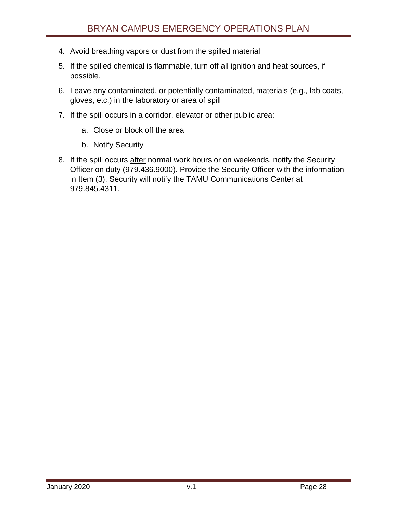- 4. Avoid breathing vapors or dust from the spilled material
- 5. If the spilled chemical is flammable, turn off all ignition and heat sources, if possible.
- 6. Leave any contaminated, or potentially contaminated, materials (e.g., lab coats, gloves, etc.) in the laboratory or area of spill
- 7. If the spill occurs in a corridor, elevator or other public area:
	- a. Close or block off the area
	- b. Notify Security
- 8. If the spill occurs after normal work hours or on weekends, notify the Security Officer on duty (979.436.9000). Provide the Security Officer with the information in Item (3). Security will notify the TAMU Communications Center at 979.845.4311.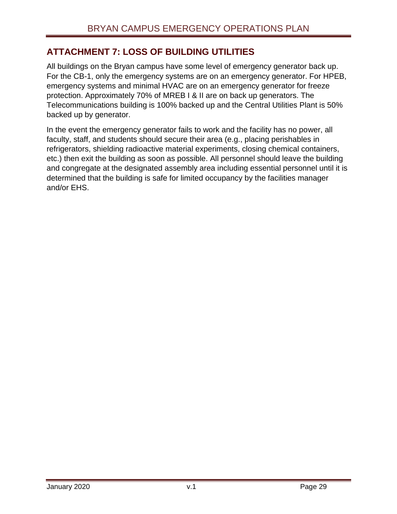# <span id="page-29-0"></span>**ATTACHMENT 7: LOSS OF BUILDING UTILITIES**

All buildings on the Bryan campus have some level of emergency generator back up. For the CB-1, only the emergency systems are on an emergency generator. For HPEB, emergency systems and minimal HVAC are on an emergency generator for freeze protection. Approximately 70% of MREB I & II are on back up generators. The Telecommunications building is 100% backed up and the Central Utilities Plant is 50% backed up by generator.

In the event the emergency generator fails to work and the facility has no power, all faculty, staff, and students should secure their area (e.g., placing perishables in refrigerators, shielding radioactive material experiments, closing chemical containers, etc.) then exit the building as soon as possible. All personnel should leave the building and congregate at the designated assembly area including essential personnel until it is determined that the building is safe for limited occupancy by the facilities manager and/or EHS.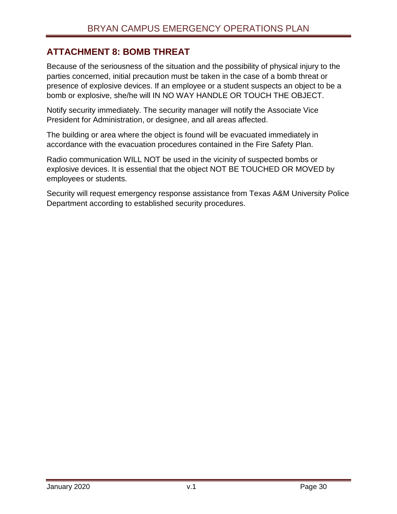# <span id="page-30-0"></span>**ATTACHMENT 8: BOMB THREAT**

Because of the seriousness of the situation and the possibility of physical injury to the parties concerned, initial precaution must be taken in the case of a bomb threat or presence of explosive devices. If an employee or a student suspects an object to be a bomb or explosive, she/he will IN NO WAY HANDLE OR TOUCH THE OBJECT.

Notify security immediately. The security manager will notify the Associate Vice President for Administration, or designee, and all areas affected.

The building or area where the object is found will be evacuated immediately in accordance with the evacuation procedures contained in the Fire Safety Plan.

Radio communication WILL NOT be used in the vicinity of suspected bombs or explosive devices. It is essential that the object NOT BE TOUCHED OR MOVED by employees or students.

Security will request emergency response assistance from Texas A&M University Police Department according to established security procedures.